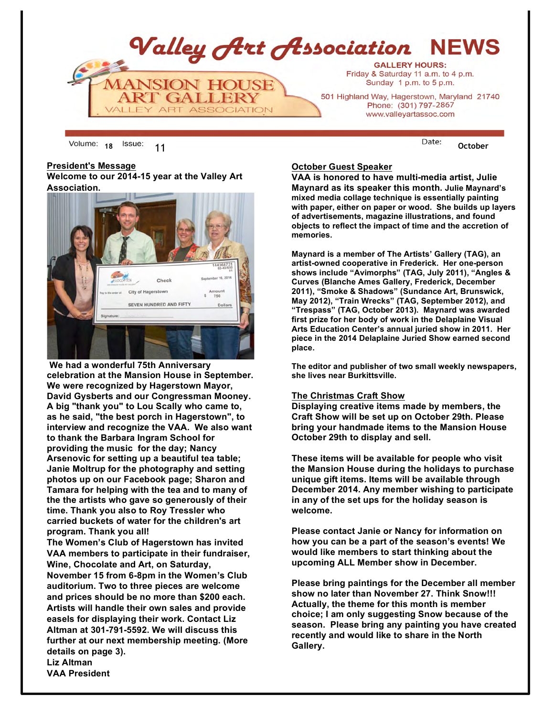

18 <sup>ISSUE:</sup> 11 **October** 

#### **President's Message**

**Welcome to our 2014-15 year at the Valley Art Association.** 



**We had a wonderful 75th Anniversary celebration at the Mansion House in September. We were recognized by Hagerstown Mayor, David Gysberts and our Congressman Mooney. A big "thank you" to Lou Scally who came to, as he said, "the best porch in Hagerstown", to interview and recognize the VAA. We also want to thank the Barbara Ingram School for providing the music for the day; Nancy Arsenovic for setting up a beautiful tea table; Janie Moltrup for the photography and setting photos up on our Facebook page; Sharon and Tamara for helping with the tea and to many of the the artists who gave so generously of their time. Thank you also to Roy Tressler who carried buckets of water for the children's art program. Thank you all!**

**The Women's Club of Hagerstown has invited VAA members to participate in their fundraiser, Wine, Chocolate and Art, on Saturday, November 15 from 6-8pm in the Women's Club auditorium. Two to three pieces are welcome and prices should be no more than \$200 each. Artists will handle their own sales and provide easels for displaying their work. Contact Liz Altman at 301-791-5592. We will discuss this further at our next membership meeting. (More details on page 3).**

**Liz Altman VAA President**

## **October Guest Speaker**

**VAA is honored to have multi-media artist, Julie Maynard as its speaker this month. Julie Maynard's mixed media collage technique is essentially painting with paper, either on paper or wood. She builds up layers of advertisements, magazine illustrations, and found objects to reflect the impact of time and the accretion of memories.**

**Maynard is a member of The Artists' Gallery (TAG), an artist-owned cooperative in Frederick. Her one-person shows include "Avimorphs" (TAG, July 2011), "Angles & Curves (Blanche Ames Gallery, Frederick, December 2011), "Smoke & Shadows" (Sundance Art, Brunswick, May 2012), "Train Wrecks" (TAG, September 2012), and "Trespass" (TAG, October 2013). Maynard was awarded first prize for her body of work in the Delaplaine Visual Arts Education Center's annual juried show in 2011. Her piece in the 2014 Delaplaine Juried Show earned second place.**

**The editor and publisher of two small weekly newspapers, she lives near Burkittsville.**

#### **The Christmas Craft Show**

**Displaying creative items made by members, the Craft Show will be set up on October 29th. Please bring your handmade items to the Mansion House October 29th to display and sell.**

**These items will be available for people who visit the Mansion House during the holidays to purchase unique gift items. Items will be available through December 2014. Any member wishing to participate in any of the set ups for the holiday season is welcome.** 

**Please contact Janie or Nancy for information on how you can be a part of the season's events! We would like members to start thinking about the upcoming ALL Member show in December.** 

**Please bring paintings for the December all member show no later than November 27. Think Snow!!! Actually, the theme for this month is member choice; I am only suggesting Snow because of the season. Please bring any painting you have created recently and would like to share in the North Gallery.**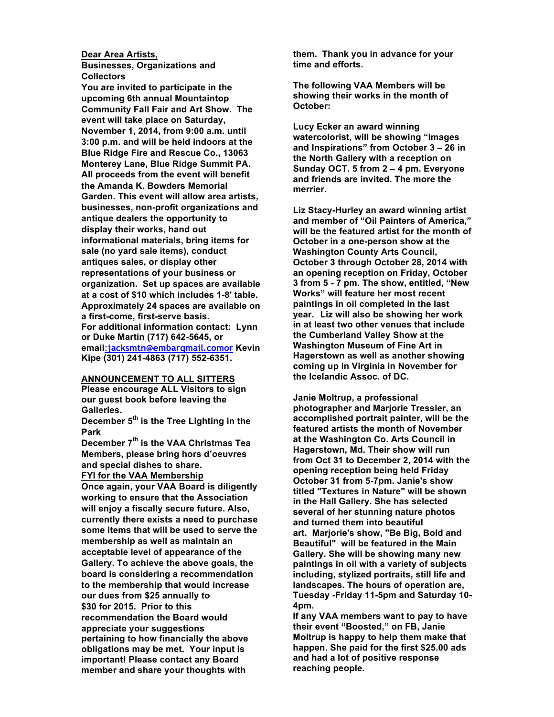#### **Dear Area Artists, Businesses, Organizations and Collectors**

**You are invited to participate in the upcoming 6th annual Mountaintop Community Fall Fair and Art Show. The event will take place on Saturday, November 1, 2014, from 9:00 a.m. until 3:00 p.m. and will be held indoors at the Blue Ridge Fire and Rescue Co., 13063 Monterey Lane, Blue Ridge Summit PA. All proceeds from the event will benefit the Amanda K. Bowders Memorial Garden. This event will allow area artists, businesses, non-profit organizations and antique dealers the opportunity to display their works, hand out informational materials, bring items for sale (no yard sale items), conduct antiques sales, or display other representations of your business or organization. Set up spaces are available at a cost of \$10 which includes 1-8' table. Approximately 24 spaces are available on a first-come, first-serve basis. For additional information contact: Lynn or Duke Martin (717) 642-5645, or email**:**jacksmtn@embarqmail.comor Kevin Kipe (301) 241-4863 (717) 552-6351.** 

#### **ANNOUNCEMENT TO ALL SITTERS**

**Please encourage ALL Visitors to sign our guest book before leaving the Galleries.**

**December 5th is the Tree Lighting in the Park**

**December 7th is the VAA Christmas Tea Members, please bring hors d'oeuvres and special dishes to share.**

#### **FYI for the VAA Membership**

**Once again, your VAA Board is diligently working to ensure that the Association will enjoy a fiscally secure future. Also, currently there exists a need to purchase some items that will be used to serve the membership as well as maintain an acceptable level of appearance of the Gallery. To achieve the above goals, the board is considering a recommendation to the membership that would increase our dues from \$25 annually to \$30 for 2015. Prior to this recommendation the Board would appreciate your suggestions pertaining to how financially the above obligations may be met. Your input is important! Please contact any Board member and share your thoughts with** 

**them. Thank you in advance for your time and efforts.**

**The following VAA Members will be showing their works in the month of October:**

**Lucy Ecker an award winning watercolorist, will be showing "Images and Inspirations" from October 3 – 26 in the North Gallery with a reception on Sunday OCT. 5 from 2 – 4 pm. Everyone and friends are invited. The more the merrier.** 

**Liz Stacy-Hurley an award winning artist and member of "Oil Painters of America," will be the featured artist for the month of October in a one-person show at the Washington County Arts Council, October 3 through October 28, 2014 with an opening reception on Friday, October 3 from 5 - 7 pm. The show, entitled, "New Works" will feature her most recent paintings in oil completed in the last year. Liz will also be showing her work in at least two other venues that include the Cumberland Valley Show at the Washington Museum of Fine Art in Hagerstown as well as another showing coming up in Virginia in November for the Icelandic Assoc. of DC.** 

**Janie Moltrup, a professional photographer and Marjorie Tressler, an accomplished portrait painter, will be the featured artists the month of November at the Washington Co. Arts Council in Hagerstown, Md. Their show will run from Oct 31 to December 2, 2014 with the opening reception being held Friday October 31 from 5-7pm. Janie's show titled "Textures in Nature" will be shown in the Hall Gallery. She has selected several of her stunning nature photos and turned them into beautiful art. Marjorie's show, "Be Big, Bold and Beautiful" will be featured in the Main Gallery. She will be showing many new paintings in oil with a variety of subjects including, stylized portraits, still life and landscapes. The hours of operation are, Tuesday -Friday 11-5pm and Saturday 10- 4pm.** 

**If any VAA members want to pay to have their event "Boosted," on FB, Janie Moltrup is happy to help them make that happen. She paid for the first \$25.00 ads and had a lot of positive response reaching people.**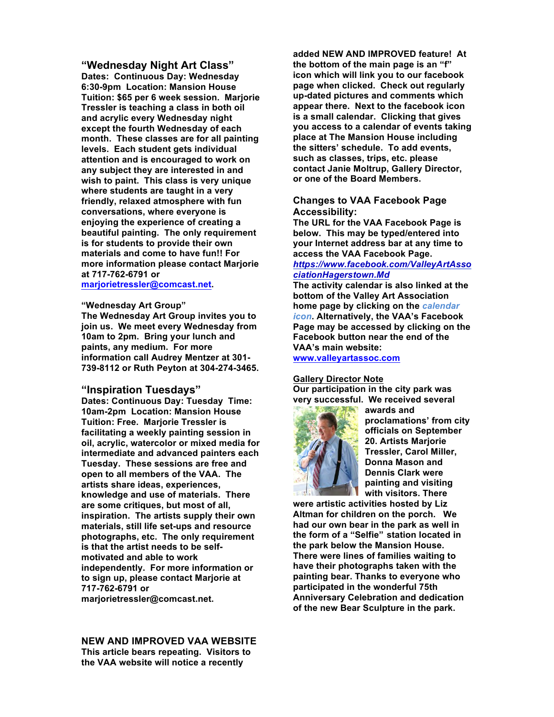**"Wednesday Night Art Class" Dates: Continuous Day: Wednesday 6:30-9pm Location: Mansion House Tuition: \$65 per 6 week session. Marjorie Tressler is teaching a class in both oil and acrylic every Wednesday night except the fourth Wednesday of each month. These classes are for all painting levels. Each student gets individual attention and is encouraged to work on any subject they are interested in and wish to paint. This class is very unique where students are taught in a very friendly, relaxed atmosphere with fun conversations, where everyone is enjoying the experience of creating a beautiful painting. The only requirement is for students to provide their own materials and come to have fun!! For more information please contact Marjorie at 717-762-6791 or marjorietressler@comcast.net.**

## **"Wednesday Art Group"**

**The Wednesday Art Group invites you to join us. We meet every Wednesday from 10am to 2pm. Bring your lunch and paints, any medium. For more information call Audrey Mentzer at 301- 739-8112 or Ruth Peyton at 304-274-3465.**

#### **"Inspiration Tuesdays"**

**Dates: Continuous Day: Tuesday Time: 10am-2pm Location: Mansion House Tuition: Free. Marjorie Tressler is facilitating a weekly painting session in oil, acrylic, watercolor or mixed media for intermediate and advanced painters each Tuesday. These sessions are free and open to all members of the VAA. The artists share ideas, experiences, knowledge and use of materials. There are some critiques, but most of all, inspiration. The artists supply their own materials, still life set-ups and resource photographs, etc. The only requirement is that the artist needs to be selfmotivated and able to work independently. For more information or to sign up, please contact Marjorie at 717-762-6791 or** 

**marjorietressler@comcast.net.**

**NEW AND IMPROVED VAA WEBSITE This article bears repeating. Visitors to the VAA website will notice a recently** 

**added NEW AND IMPROVED feature! At the bottom of the main page is an "f" icon which will link you to our facebook page when clicked. Check out regularly up-dated pictures and comments which appear there. Next to the facebook icon is a small calendar. Clicking that gives you access to a calendar of events taking place at The Mansion House including the sitters' schedule. To add events, such as classes, trips, etc. please contact Janie Moltrup, Gallery Director, or one of the Board Members.**

## **Changes to VAA Facebook Page Accessibility:**

**The URL for the VAA Facebook Page is below. This may be typed/entered into your Internet address bar at any time to access the VAA Facebook Page.** *https://www.facebook.com/ValleyArtAsso ciationHagerstown.Md*

**The activity calendar is also linked at the bottom of the Valley Art Association home page by clicking on the** *calendar icon***. Alternatively, the VAA's Facebook Page may be accessed by clicking on the Facebook button near the end of the VAA's main website:** 

**www.valleyartassoc.com**

#### **Gallery Director Note**

**Our participation in the city park was very successful. We received several** 



**awards and proclamations' from city officials on September 20. Artists Marjorie Tressler, Carol Miller, Donna Mason and Dennis Clark were painting and visiting with visitors. There** 

**were artistic activities hosted by Liz Altman for children on the porch. We had our own bear in the park as well in the form of a "Selfie" station located in the park below the Mansion House. There were lines of families waiting to have their photographs taken with the painting bear. Thanks to everyone who participated in the wonderful 75th Anniversary Celebration and dedication of the new Bear Sculpture in the park.**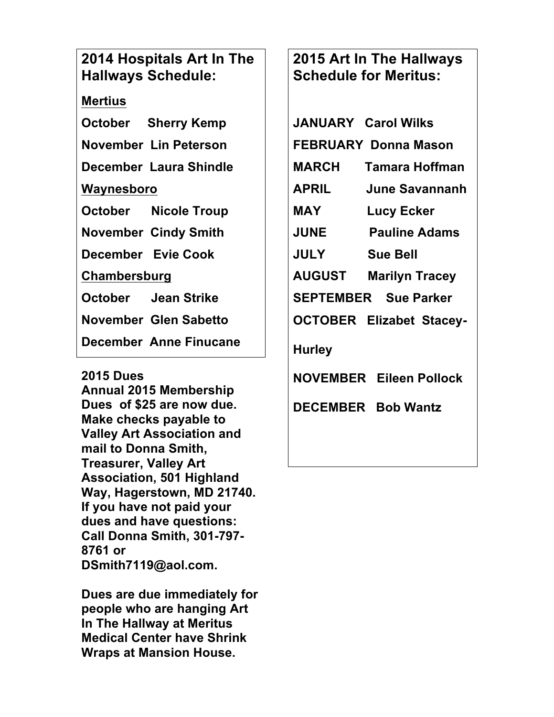## **2014 Hospitals Art In The Hallways Schedule:**

## **Mertius**

**October Sherry Kemp November Lin Peterson**

**December Laura Shindle**

## **Waynesboro**

**October Nicole Troup**

**November Cindy Smith**

**December Evie Cook**

**Chambersburg**

**October Jean Strike**

**November Glen Sabetto**

**December Anne Finucane**

## **2015 Dues**

**Annual 2015 Membership Dues of \$25 are now due. Make checks payable to Valley Art Association and mail to Donna Smith, Treasurer, Valley Art Association, 501 Highland Way, Hagerstown, MD 21740. If you have not paid your dues and have questions: Call Donna Smith, 301-797- 8761 or DSmith7119@aol.com.**

**Dues are due immediately for people who are hanging Art In The Hallway at Meritus Medical Center have Shrink Wraps at Mansion House.**

# **2015 Art In The Hallways Schedule for Meritus:**

|                             | <b>JANUARY Carol Wilks</b>      |
|-----------------------------|---------------------------------|
|                             | <b>FEBRUARY Donna Mason</b>     |
| <b>MARCH</b>                | Tamara Hoffman                  |
| <b>APRIL</b>                | June Savannanh                  |
| MAY                         | <b>Lucy Ecker</b>               |
| <b>JUNE</b>                 | <b>Pauline Adams</b>            |
| <b>JULY</b>                 | <b>Sue Bell</b>                 |
|                             | <b>AUGUST Marilyn Tracey</b>    |
| <b>SEPTEMBER</b> Sue Parker |                                 |
|                             | <b>OCTOBER Elizabet Stacey-</b> |
| <b>Hurley</b>               |                                 |
|                             | <b>NOVEMBER Eileen Pollock</b>  |
| <b>DECEMBER</b>             | <b>Bob Wantz</b>                |